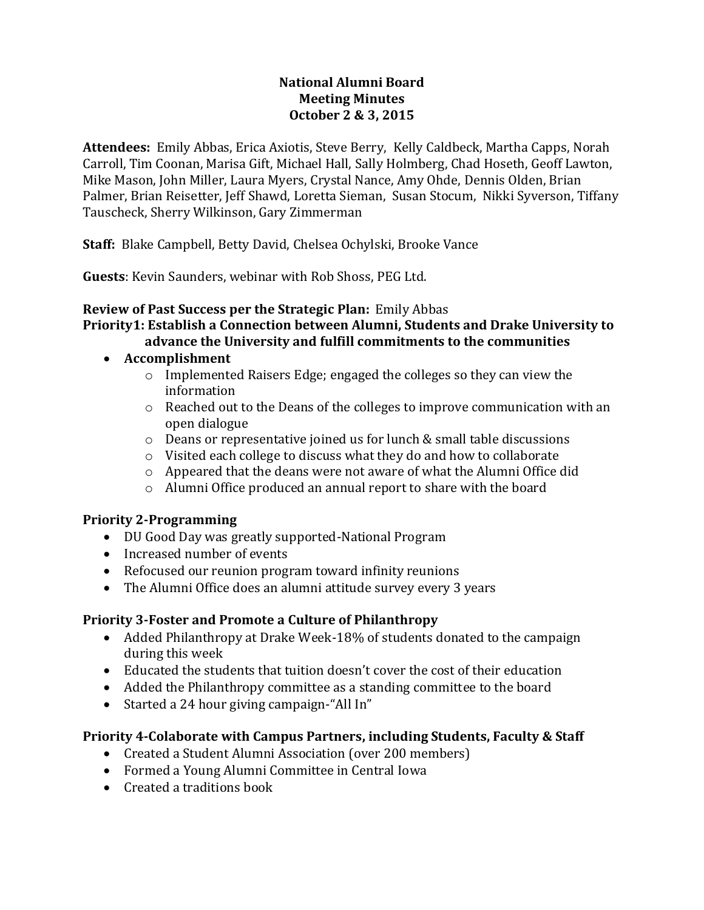### **National Alumni Board Meeting Minutes October 2 & 3, 2015**

**Attendees:** Emily Abbas, Erica Axiotis, Steve Berry, Kelly Caldbeck, Martha Capps, Norah Carroll, Tim Coonan, Marisa Gift, Michael Hall, Sally Holmberg, Chad Hoseth, Geoff Lawton, Mike Mason, John Miller, Laura Myers, Crystal Nance, Amy Ohde, Dennis Olden, Brian Palmer, Brian Reisetter, Jeff Shawd, Loretta Sieman, Susan Stocum, Nikki Syverson, Tiffany Tauscheck, Sherry Wilkinson, Gary Zimmerman

**Staff:** Blake Campbell, Betty David, Chelsea Ochylski, Brooke Vance

**Guests**: Kevin Saunders, webinar with Rob Shoss, PEG Ltd.

### **Review of Past Success per the Strategic Plan:** Emily Abbas

**Priority1: Establish a Connection between Alumni, Students and Drake University to advance the University and fulfill commitments to the communities**

- **Accomplishment**
	- o Implemented Raisers Edge; engaged the colleges so they can view the information
	- o Reached out to the Deans of the colleges to improve communication with an open dialogue
	- o Deans or representative joined us for lunch & small table discussions
	- o Visited each college to discuss what they do and how to collaborate
	- $\circ$  Appeared that the deans were not aware of what the Alumni Office did
	- o Alumni Office produced an annual report to share with the board

### **Priority 2-Programming**

- DU Good Day was greatly supported-National Program
- Increased number of events
- Refocused our reunion program toward infinity reunions
- The Alumni Office does an alumni attitude survey every 3 years

### **Priority 3-Foster and Promote a Culture of Philanthropy**

- Added Philanthropy at Drake Week-18% of students donated to the campaign during this week
- Educated the students that tuition doesn't cover the cost of their education
- Added the Philanthropy committee as a standing committee to the board
- Started a 24 hour giving campaign-"All In"

### **Priority 4-Colaborate with Campus Partners, including Students, Faculty & Staff**

- Created a Student Alumni Association (over 200 members)
- Formed a Young Alumni Committee in Central Iowa
- Created a traditions book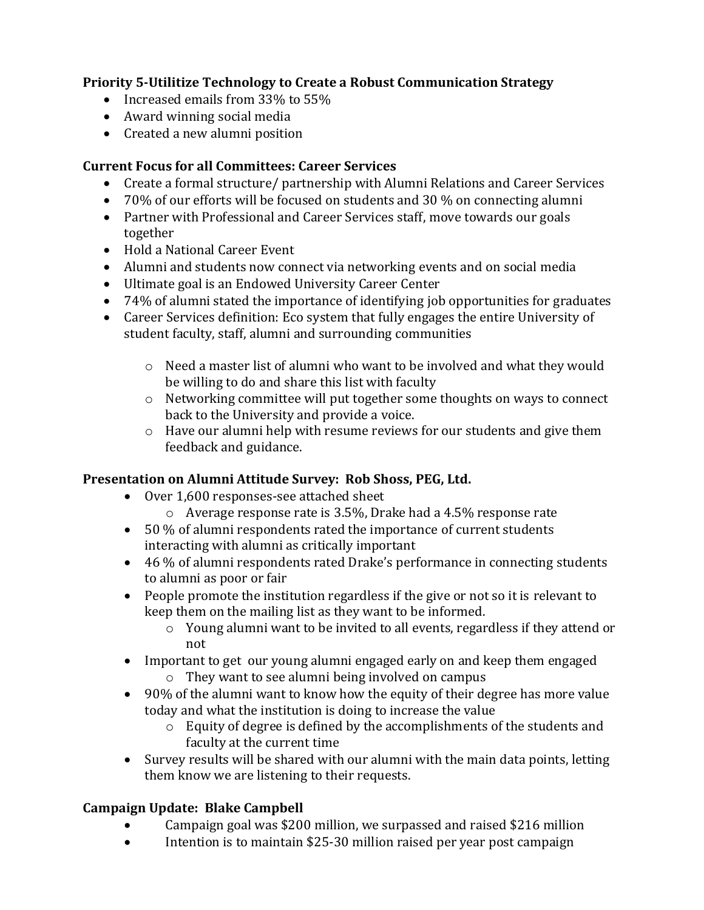## **Priority 5-Utilitize Technology to Create a Robust Communication Strategy**

- Increased emails from 33% to 55%
- Award winning social media
- Created a new alumni position

### **Current Focus for all Committees: Career Services**

- Create a formal structure/ partnership with Alumni Relations and Career Services
- 70% of our efforts will be focused on students and 30 % on connecting alumni
- Partner with Professional and Career Services staff, move towards our goals together
- Hold a National Career Event
- Alumni and students now connect via networking events and on social media
- Ultimate goal is an Endowed University Career Center
- 74% of alumni stated the importance of identifying job opportunities for graduates
- Career Services definition: Eco system that fully engages the entire University of student faculty, staff, alumni and surrounding communities
	- o Need a master list of alumni who want to be involved and what they would be willing to do and share this list with faculty
	- o Networking committee will put together some thoughts on ways to connect back to the University and provide a voice.
	- o Have our alumni help with resume reviews for our students and give them feedback and guidance.

### **Presentation on Alumni Attitude Survey: Rob Shoss, PEG, Ltd.**

- Over 1,600 responses-see attached sheet
	- o Average response rate is 3.5%, Drake had a 4.5% response rate
- 50 % of alumni respondents rated the importance of current students interacting with alumni as critically important
- 46 % of alumni respondents rated Drake's performance in connecting students to alumni as poor or fair
- People promote the institution regardless if the give or not so it is relevant to keep them on the mailing list as they want to be informed.
	- o Young alumni want to be invited to all events, regardless if they attend or not
- Important to get our young alumni engaged early on and keep them engaged
	- o They want to see alumni being involved on campus
- 90% of the alumni want to know how the equity of their degree has more value today and what the institution is doing to increase the value
	- o Equity of degree is defined by the accomplishments of the students and faculty at the current time
- Survey results will be shared with our alumni with the main data points, letting them know we are listening to their requests.

### **Campaign Update: Blake Campbell**

- Campaign goal was \$200 million, we surpassed and raised \$216 million
- Intention is to maintain \$25-30 million raised per year post campaign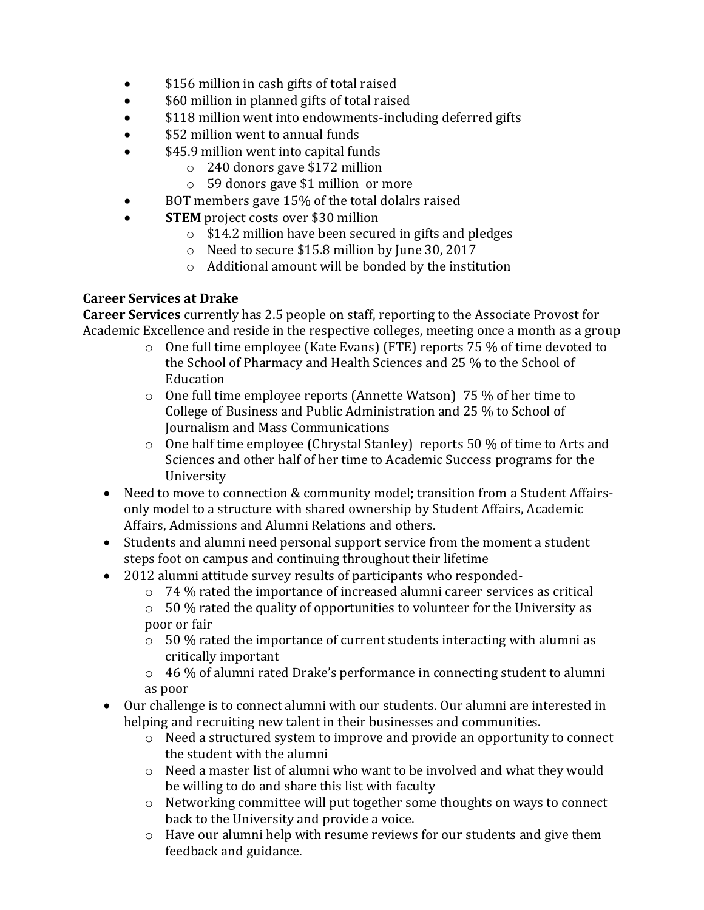- \$156 million in cash gifts of total raised
- \$60 million in planned gifts of total raised
- \$118 million went into endowments-including deferred gifts
- \$52 million went to annual funds
- \$45.9 million went into capital funds
	- o 240 donors gave \$172 million
	- o 59 donors gave \$1 million or more
- BOT members gave 15% of the total dolalrs raised
- **STEM** project costs over \$30 million
	- o \$14.2 million have been secured in gifts and pledges
	- o Need to secure \$15.8 million by June 30, 2017
	- o Additional amount will be bonded by the institution

# **Career Services at Drake**

**Career Services** currently has 2.5 people on staff, reporting to the Associate Provost for Academic Excellence and reside in the respective colleges, meeting once a month as a group

- o One full time employee (Kate Evans) (FTE) reports 75 % of time devoted to the School of Pharmacy and Health Sciences and 25 % to the School of Education
- o One full time employee reports (Annette Watson) 75 % of her time to College of Business and Public Administration and 25 % to School of Journalism and Mass Communications
- o One half time employee (Chrystal Stanley) reports 50 % of time to Arts and Sciences and other half of her time to Academic Success programs for the University
- Need to move to connection & community model; transition from a Student Affairsonly model to a structure with shared ownership by Student Affairs, Academic Affairs, Admissions and Alumni Relations and others.
- Students and alumni need personal support service from the moment a student steps foot on campus and continuing throughout their lifetime
- 2012 alumni attitude survey results of participants who responded
	- o 74 % rated the importance of increased alumni career services as critical
	- $\circ$  50 % rated the quality of opportunities to volunteer for the University as poor or fair
	- $\circ$  50 % rated the importance of current students interacting with alumni as critically important
	- o 46 % of alumni rated Drake's performance in connecting student to alumni as poor
- Our challenge is to connect alumni with our students. Our alumni are interested in helping and recruiting new talent in their businesses and communities.
	- o Need a structured system to improve and provide an opportunity to connect the student with the alumni
	- o Need a master list of alumni who want to be involved and what they would be willing to do and share this list with faculty
	- o Networking committee will put together some thoughts on ways to connect back to the University and provide a voice.
	- o Have our alumni help with resume reviews for our students and give them feedback and guidance.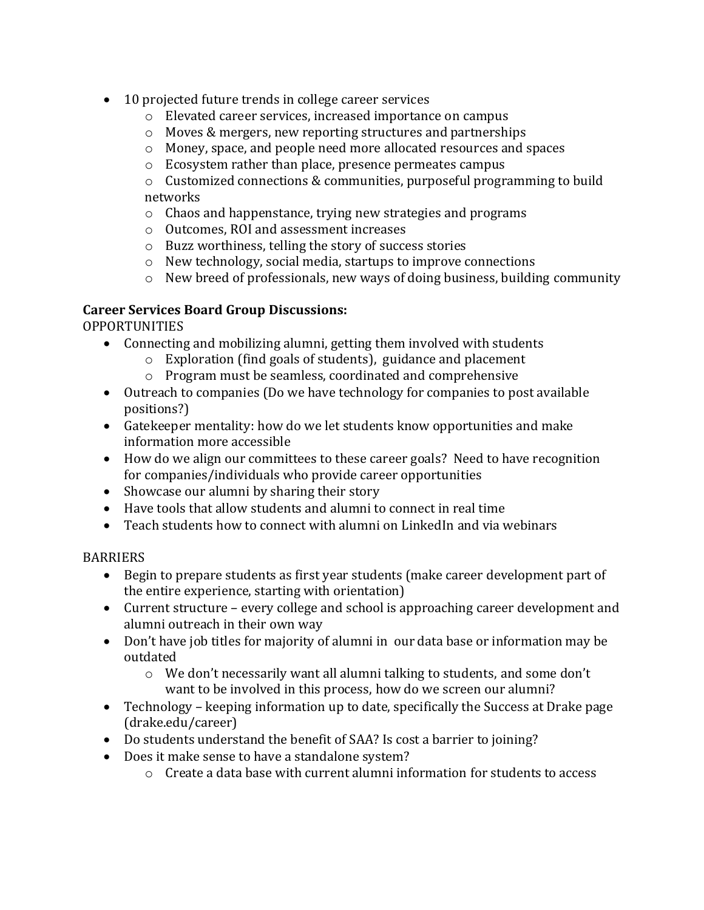- 10 projected future trends in college career services
	- o Elevated career services, increased importance on campus
	- o Moves & mergers, new reporting structures and partnerships
	- o Money, space, and people need more allocated resources and spaces
	- o Ecosystem rather than place, presence permeates campus
	- o Customized connections & communities, purposeful programming to build networks
	- o Chaos and happenstance, trying new strategies and programs
	- o Outcomes, ROI and assessment increases
	- o Buzz worthiness, telling the story of success stories
	- o New technology, social media, startups to improve connections
	- o New breed of professionals, new ways of doing business, building community

### **Career Services Board Group Discussions:**

OPPORTUNITIES

- Connecting and mobilizing alumni, getting them involved with students
	- o Exploration (find goals of students), guidance and placement
	- o Program must be seamless, coordinated and comprehensive
- Outreach to companies (Do we have technology for companies to post available positions?)
- Gatekeeper mentality: how do we let students know opportunities and make information more accessible
- How do we align our committees to these career goals? Need to have recognition for companies/individuals who provide career opportunities
- Showcase our alumni by sharing their story
- Have tools that allow students and alumni to connect in real time
- Teach students how to connect with alumni on LinkedIn and via webinars

#### BARRIERS

- Begin to prepare students as first year students (make career development part of the entire experience, starting with orientation)
- Current structure every college and school is approaching career development and alumni outreach in their own way
- Don't have job titles for majority of alumni in our data base or information may be outdated
	- $\circ$  We don't necessarily want all alumni talking to students, and some don't want to be involved in this process, how do we screen our alumni?
- Technology keeping information up to date, specifically the Success at Drake page (drake.edu/career)
- Do students understand the benefit of SAA? Is cost a barrier to joining?
- Does it make sense to have a standalone system?
	- $\circ$  Create a data base with current alumni information for students to access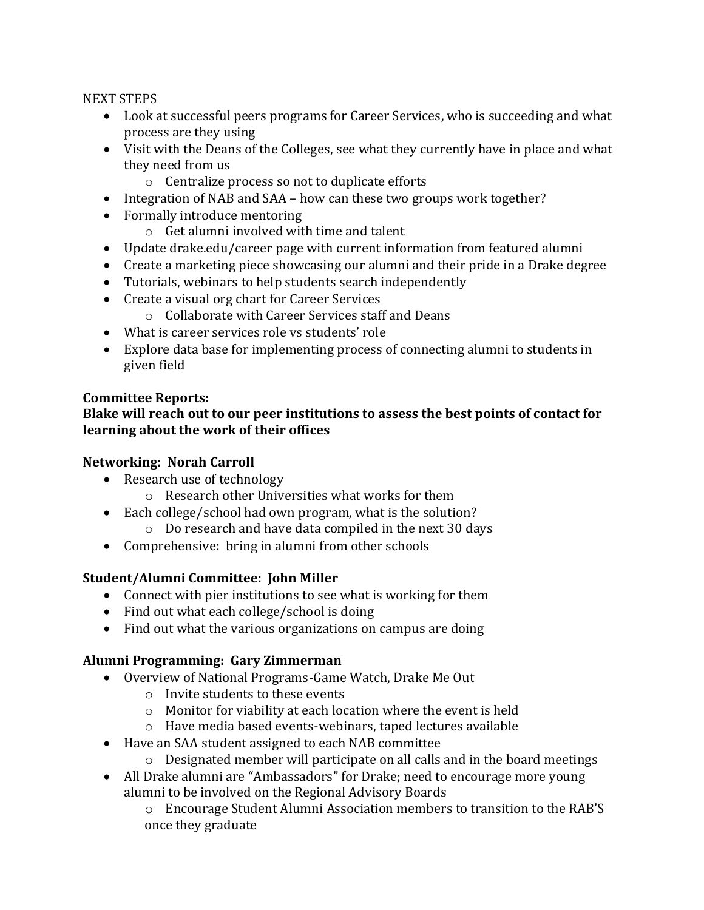#### NEXT STEPS

- Look at successful peers programs for Career Services, who is succeeding and what process are they using
- Visit with the Deans of the Colleges, see what they currently have in place and what they need from us
	- o Centralize process so not to duplicate efforts
- Integration of NAB and SAA how can these two groups work together?
- Formally introduce mentoring
	- o Get alumni involved with time and talent
- Update drake.edu/career page with current information from featured alumni
- Create a marketing piece showcasing our alumni and their pride in a Drake degree
- Tutorials, webinars to help students search independently
- Create a visual org chart for Career Services
	- o Collaborate with Career Services staff and Deans
- What is career services role vs students' role
- Explore data base for implementing process of connecting alumni to students in given field

### **Committee Reports:**

#### **Blake will reach out to our peer institutions to assess the best points of contact for learning about the work of their offices**

### **Networking: Norah Carroll**

- Research use of technology
	- o Research other Universities what works for them
- Each college/school had own program, what is the solution? o Do research and have data compiled in the next 30 days
- Comprehensive: bring in alumni from other schools

# **Student/Alumni Committee: John Miller**

- Connect with pier institutions to see what is working for them
- Find out what each college/school is doing
- Find out what the various organizations on campus are doing

# **Alumni Programming: Gary Zimmerman**

- Overview of National Programs-Game Watch, Drake Me Out
	- o Invite students to these events
	- o Monitor for viability at each location where the event is held
	- o Have media based events-webinars, taped lectures available
- Have an SAA student assigned to each NAB committee
	- o Designated member will participate on all calls and in the board meetings
- All Drake alumni are "Ambassadors" for Drake; need to encourage more young alumni to be involved on the Regional Advisory Boards
	- o Encourage Student Alumni Association members to transition to the RAB'S once they graduate